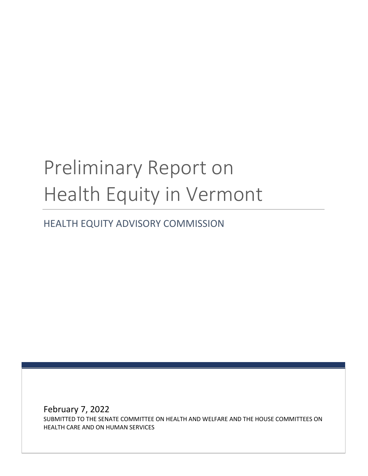# Preliminary Report on Health Equity in Vermont

HEALTH EQUITY ADVISORY COMMISSION

February 7, 2022 SUBMITTED TO THE SENATE COMMITTEE ON HEALTH AND WELFARE AND THE HOUSE COMMITTEES ON HEALTH CARE AND ON HUMAN SERVICES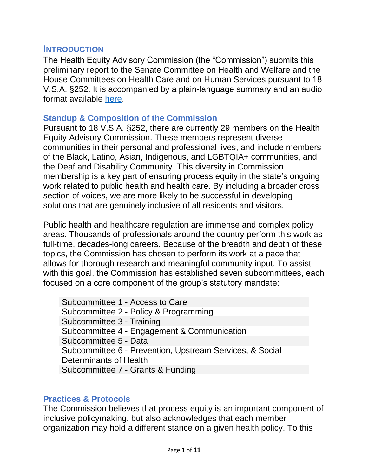# **INTRODUCTION**

The Health Equity Advisory Commission (the "Commission") submits this preliminary report to the Senate Committee on Health and Welfare and the House Committees on Health Care and on Human Services pursuant to 18 V.S.A. §252. It is accompanied by a plain-language summary and an audio format available [here.](https://aoa.vermont.gov/content/heac-information-center)

## **Standup & Composition of the Commission**

Pursuant to 18 V.S.A. §252, there are currently 29 members on the Health Equity Advisory Commission. These members represent diverse communities in their personal and professional lives, and include members of the Black, Latino, Asian, Indigenous, and LGBTQIA+ communities, and the Deaf and Disability Community. This diversity in Commission membership is a key part of ensuring process equity in the state's ongoing work related to public health and health care. By including a broader cross section of voices, we are more likely to be successful in developing solutions that are genuinely inclusive of all residents and visitors.

Public health and healthcare regulation are immense and complex policy areas. Thousands of professionals around the country perform this work as full-time, decades-long careers. Because of the breadth and depth of these topics, the Commission has chosen to perform its work at a pace that allows for thorough research and meaningful community input. To assist with this goal, the Commission has established seven subcommittees, each focused on a core component of the group's statutory mandate:

Subcommittee 1 - Access to Care Subcommittee 2 - Policy & Programming Subcommittee 3 - Training Subcommittee 4 - Engagement & Communication Subcommittee 5 - Data Subcommittee 6 - Prevention, Upstream Services, & Social Determinants of Health Subcommittee 7 - Grants & Funding

#### **Practices & Protocols**

The Commission believes that process equity is an important component of inclusive policymaking, but also acknowledges that each member organization may hold a different stance on a given health policy. To this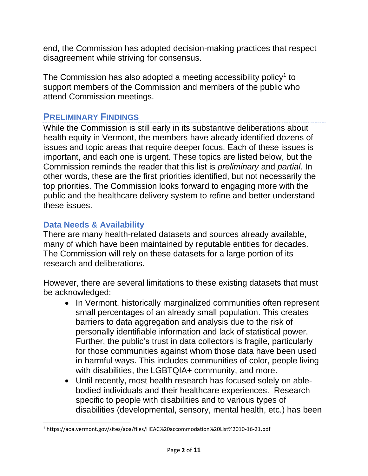end, the Commission has adopted decision-making practices that respect disagreement while striving for consensus.

The Commission has also adopted a meeting accessibility policy $1$  to support members of the Commission and members of the public who attend Commission meetings.

# **PRELIMINARY FINDINGS**

While the Commission is still early in its substantive deliberations about health equity in Vermont, the members have already identified dozens of issues and topic areas that require deeper focus. Each of these issues is important, and each one is urgent. These topics are listed below, but the Commission reminds the reader that this list is *preliminary* and *partial*. In other words, these are the first priorities identified, but not necessarily the top priorities. The Commission looks forward to engaging more with the public and the healthcare delivery system to refine and better understand these issues.

# **Data Needs & Availability**

There are many health-related datasets and sources already available, many of which have been maintained by reputable entities for decades. The Commission will rely on these datasets for a large portion of its research and deliberations.

However, there are several limitations to these existing datasets that must be acknowledged:

- In Vermont, historically marginalized communities often represent small percentages of an already small population. This creates barriers to data aggregation and analysis due to the risk of personally identifiable information and lack of statistical power. Further, the public's trust in data collectors is fragile, particularly for those communities against whom those data have been used in harmful ways. This includes communities of color, people living with disabilities, the LGBTQIA+ community, and more.
- Until recently, most health research has focused solely on ablebodied individuals and their healthcare experiences. Research specific to people with disabilities and to various types of disabilities (developmental, sensory, mental health, etc.) has been

<sup>1</sup> https://aoa.vermont.gov/sites/aoa/files/HEAC%20accommodation%20List%2010-16-21.pdf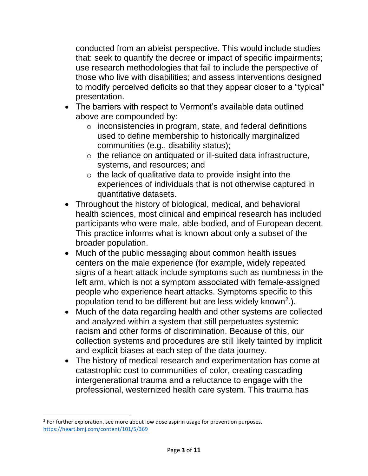conducted from an ableist perspective. This would include studies that: seek to quantify the decree or impact of specific impairments; use research methodologies that fail to include the perspective of those who live with disabilities; and assess interventions designed to modify perceived deficits so that they appear closer to a "typical" presentation.

- The barriers with respect to Vermont's available data outlined above are compounded by:
	- $\circ$  inconsistencies in program, state, and federal definitions used to define membership to historically marginalized communities (e.g., disability status);
	- $\circ$  the reliance on antiquated or ill-suited data infrastructure, systems, and resources; and
	- $\circ$  the lack of qualitative data to provide insight into the experiences of individuals that is not otherwise captured in quantitative datasets.
- Throughout the history of biological, medical, and behavioral health sciences, most clinical and empirical research has included participants who were male, able-bodied, and of European decent. This practice informs what is known about only a subset of the broader population.
- Much of the public messaging about common health issues centers on the male experience (for example, widely repeated signs of a heart attack include symptoms such as numbness in the left arm, which is not a symptom associated with female-assigned people who experience heart attacks. Symptoms specific to this population tend to be different but are less widely known<sup>2</sup>.).
- Much of the data regarding health and other systems are collected and analyzed within a system that still perpetuates systemic racism and other forms of discrimination. Because of this, our collection systems and procedures are still likely tainted by implicit and explicit biases at each step of the data journey.
- The history of medical research and experimentation has come at catastrophic cost to communities of color, creating cascading intergenerational trauma and a reluctance to engage with the professional, westernized health care system. This trauma has

<sup>&</sup>lt;sup>2</sup> For further exploration, see more about low dose aspirin usage for prevention purposes. <https://heart.bmj.com/content/101/5/369>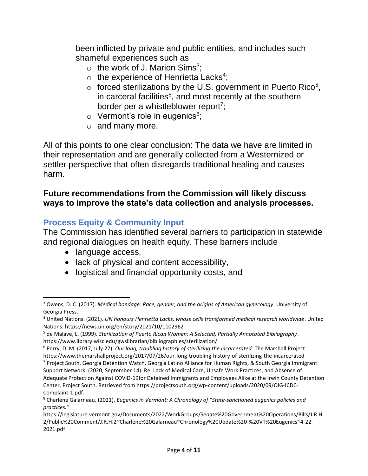been inflicted by private and public entities, and includes such shameful experiences such as

- $\circ$  the work of J. Marion Sims<sup>3</sup>;
- $\circ$  the experience of Henrietta Lacks<sup>4</sup>;
- $\circ$  forced sterilizations by the U.S. government in Puerto Rico<sup>5</sup>, in carceral facilities<sup>6</sup>, and most recently at the southern border per a whistleblower report<sup>7</sup>;
- $\circ$  Vermont's role in eugenics<sup>8</sup>;
- o and many more.

All of this points to one clear conclusion: The data we have are limited in their representation and are generally collected from a Westernized or settler perspective that often disregards traditional healing and causes harm.

# **Future recommendations from the Commission will likely discuss ways to improve the state's data collection and analysis processes.**

# **Process Equity & Community Input**

The Commission has identified several barriers to participation in statewide and regional dialogues on health equity. These barriers include

- language access,
- lack of physical and content accessibility,
- logistical and financial opportunity costs, and

<sup>3</sup> Owens, D. C. (2017). *Medical bondage: Race, gender, and the origins of American gynecology*. University of Georgia Press.

<sup>4</sup> United Nations. (2021). *UN honours Henrietta Lacks, whose cells transformed medical research worldwide*. United Nations. https://news.un.org/en/story/2021/10/1102962

<sup>5</sup> de Malave, L. (1999). *Sterilization of Puerto Rican Women: A Selected, Partially Annotated Bibliography*. https://www.library.wisc.edu/gwslibrarian/bibliographies/sterilization/

<sup>6</sup> Perry, D. M. (2017, July 27). *Our long, troubling history of sterilizing the incarcerated*. The Marshall Project. https://www.themarshallproject.org/2017/07/26/our-long-troubling-history-of-sterilizing-the-incarcerated

<sup>7</sup> Project South, Georgia Detention Watch, Georgia Latino Alliance for Human Rights, & South Georgia Immigrant Support Network. (2020, September 14). Re: Lack of Medical Care, Unsafe Work Practices, and Absence of

Adequate Protection Against COVID-19for Detained Immigrants and Employees Alike at the Irwin County Detention Center. Project South. Retrieved from https://projectsouth.org/wp-content/uploads/2020/09/OIG-ICDC-Complaint-1.pdf.

<sup>8</sup> Charlene Galarneau. (2021). *Eugenics in Vermont: A Chronology of "State-sanctioned eugenics policies and practices."*

https://legislature.vermont.gov/Documents/2022/WorkGroups/Senate%20Government%20Operations/Bills/J.R.H. 2/Public%20Comment/J.R.H.2~Charlene%20Galarneau~Chronology%20Update%20-%20VT%20Eugenics~4-22- 2021.pdf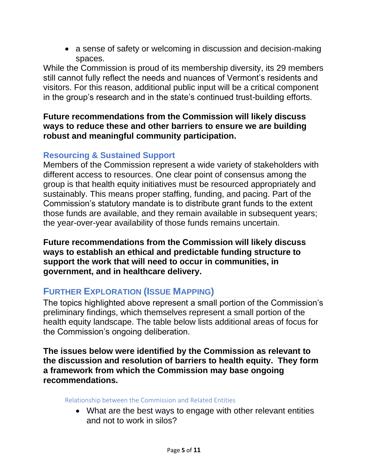• a sense of safety or welcoming in discussion and decision-making spaces.

While the Commission is proud of its membership diversity, its 29 members still cannot fully reflect the needs and nuances of Vermont's residents and visitors. For this reason, additional public input will be a critical component in the group's research and in the state's continued trust-building efforts.

## **Future recommendations from the Commission will likely discuss ways to reduce these and other barriers to ensure we are building robust and meaningful community participation.**

# **Resourcing & Sustained Support**

Members of the Commission represent a wide variety of stakeholders with different access to resources. One clear point of consensus among the group is that health equity initiatives must be resourced appropriately and sustainably. This means proper staffing, funding, and pacing. Part of the Commission's statutory mandate is to distribute grant funds to the extent those funds are available, and they remain available in subsequent years; the year-over-year availability of those funds remains uncertain.

**Future recommendations from the Commission will likely discuss ways to establish an ethical and predictable funding structure to support the work that will need to occur in communities, in government, and in healthcare delivery.**

# **FURTHER EXPLORATION (ISSUE MAPPING)**

The topics highlighted above represent a small portion of the Commission's preliminary findings, which themselves represent a small portion of the health equity landscape. The table below lists additional areas of focus for the Commission's ongoing deliberation.

**The issues below were identified by the Commission as relevant to the discussion and resolution of barriers to health equity. They form a framework from which the Commission may base ongoing recommendations.** 

Relationship between the Commission and Related Entities

• What are the best ways to engage with other relevant entities and not to work in silos?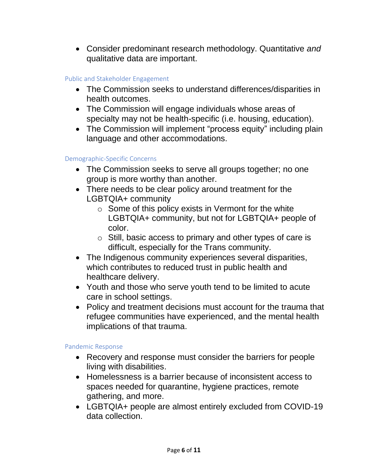• Consider predominant research methodology. Quantitative *and*  qualitative data are important.

#### Public and Stakeholder Engagement

- The Commission seeks to understand differences/disparities in health outcomes.
- The Commission will engage individuals whose areas of specialty may not be health-specific (i.e. housing, education).
- The Commission will implement "process equity" including plain language and other accommodations.

#### Demographic-Specific Concerns

- The Commission seeks to serve all groups together; no one group is more worthy than another.
- There needs to be clear policy around treatment for the LGBTQIA+ community
	- $\circ$  Some of this policy exists in Vermont for the white LGBTQIA+ community, but not for LGBTQIA+ people of color.
	- o Still, basic access to primary and other types of care is difficult, especially for the Trans community.
- The Indigenous community experiences several disparities, which contributes to reduced trust in public health and healthcare delivery.
- Youth and those who serve youth tend to be limited to acute care in school settings.
- Policy and treatment decisions must account for the trauma that refugee communities have experienced, and the mental health implications of that trauma.

#### Pandemic Response

- Recovery and response must consider the barriers for people living with disabilities.
- Homelessness is a barrier because of inconsistent access to spaces needed for quarantine, hygiene practices, remote gathering, and more.
- LGBTQIA+ people are almost entirely excluded from COVID-19 data collection.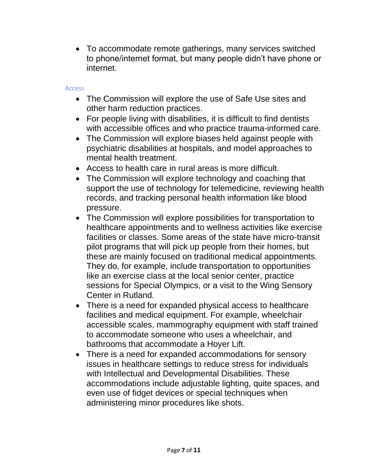• To accommodate remote gatherings, many services switched to phone/internet format, but many people didn't have phone or internet.

#### Access

- The Commission will explore the use of Safe Use sites and other harm reduction practices.
- For people living with disabilities, it is difficult to find dentists with accessible offices and who practice trauma-informed care.
- The Commission will explore biases held against people with psychiatric disabilities at hospitals, and model approaches to mental health treatment.
- Access to health care in rural areas is more difficult.
- The Commission will explore technology and coaching that support the use of technology for telemedicine, reviewing health records, and tracking personal health information like blood pressure.
- The Commission will explore possibilities for transportation to healthcare appointments and to wellness activities like exercise facilities or classes. Some areas of the state have micro-transit pilot programs that will pick up people from their homes, but these are mainly focused on traditional medical appointments. They do, for example, include transportation to opportunities like an exercise class at the local senior center, practice sessions for Special Olympics, or a visit to the Wing Sensory Center in Rutland.
- There is a need for expanded physical access to healthcare facilities and medical equipment. For example, wheelchair accessible scales, mammography equipment with staff trained to accommodate someone who uses a wheelchair, and bathrooms that accommodate a Hoyer Lift.
- There is a need for expanded accommodations for sensory issues in healthcare settings to reduce stress for individuals with Intellectual and Developmental Disabilities. These accommodations include adjustable lighting, quite spaces, and even use of fidget devices or special techniques when administering minor procedures like shots.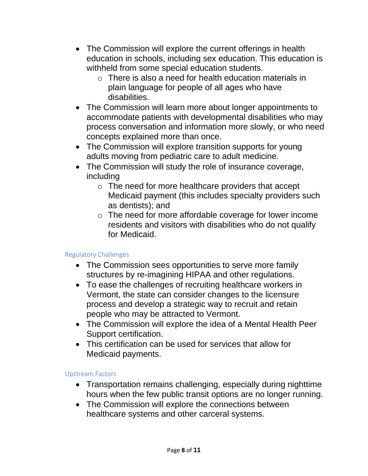- The Commission will explore the current offerings in health education in schools, including sex education. This education is withheld from some special education students.
	- $\circ$  There is also a need for health education materials in plain language for people of all ages who have disabilities.
- The Commission will learn more about longer appointments to accommodate patients with developmental disabilities who may process conversation and information more slowly, or who need concepts explained more than once.
- The Commission will explore transition supports for young adults moving from pediatric care to adult medicine.
- The Commission will study the role of insurance coverage, including
	- o The need for more healthcare providers that accept Medicaid payment (this includes specialty providers such as dentists); and
	- o The need for more affordable coverage for lower income residents and visitors with disabilities who do not qualify for Medicaid.

# Regulatory Challenges

- The Commission sees opportunities to serve more family structures by re-imagining HIPAA and other regulations.
- To ease the challenges of recruiting healthcare workers in Vermont, the state can consider changes to the licensure process and develop a strategic way to recruit and retain people who may be attracted to Vermont.
- The Commission will explore the idea of a Mental Health Peer Support certification.
- This certification can be used for services that allow for Medicaid payments.

#### Upstream Factors

- Transportation remains challenging, especially during nighttime hours when the few public transit options are no longer running.
- The Commission will explore the connections between healthcare systems and other carceral systems.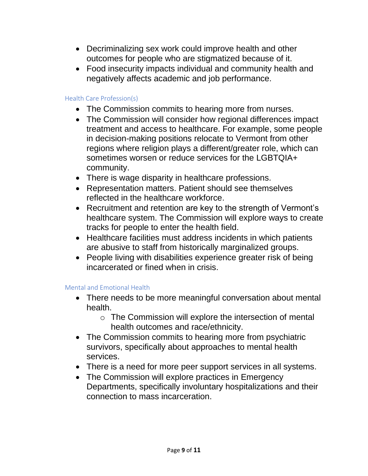- Decriminalizing sex work could improve health and other outcomes for people who are stigmatized because of it.
- Food insecurity impacts individual and community health and negatively affects academic and job performance.

#### Health Care Profession(s)

- The Commission commits to hearing more from nurses.
- The Commission will consider how regional differences impact treatment and access to healthcare. For example, some people in decision-making positions relocate to Vermont from other regions where religion plays a different/greater role, which can sometimes worsen or reduce services for the LGBTQIA+ community.
- There is wage disparity in healthcare professions.
- Representation matters. Patient should see themselves reflected in the healthcare workforce.
- Recruitment and retention are key to the strength of Vermont's healthcare system. The Commission will explore ways to create tracks for people to enter the health field.
- Healthcare facilities must address incidents in which patients are abusive to staff from historically marginalized groups.
- People living with disabilities experience greater risk of being incarcerated or fined when in crisis.

#### Mental and Emotional Health

- There needs to be more meaningful conversation about mental health.
	- o The Commission will explore the intersection of mental health outcomes and race/ethnicity.
- The Commission commits to hearing more from psychiatric survivors, specifically about approaches to mental health services.
- There is a need for more peer support services in all systems.
- The Commission will explore practices in Emergency Departments, specifically involuntary hospitalizations and their connection to mass incarceration.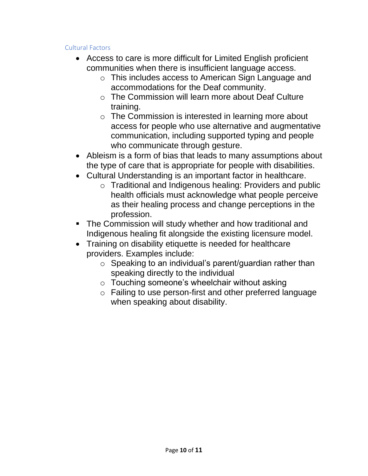#### Cultural Factors

- Access to care is more difficult for Limited English proficient communities when there is insufficient language access.
	- o This includes access to American Sign Language and accommodations for the Deaf community.
	- o The Commission will learn more about Deaf Culture training.
	- o The Commission is interested in learning more about access for people who use alternative and augmentative communication, including supported typing and people who communicate through gesture.
- Ableism is a form of bias that leads to many assumptions about the type of care that is appropriate for people with disabilities.
- Cultural Understanding is an important factor in healthcare.
	- o Traditional and Indigenous healing: Providers and public health officials must acknowledge what people perceive as their healing process and change perceptions in the profession.
- **The Commission will study whether and how traditional and** Indigenous healing fit alongside the existing licensure model.
- Training on disability etiquette is needed for healthcare providers. Examples include:
	- $\circ$  Speaking to an individual's parent/guardian rather than speaking directly to the individual
	- o Touching someone's wheelchair without asking
	- o Failing to use person-first and other preferred language when speaking about disability.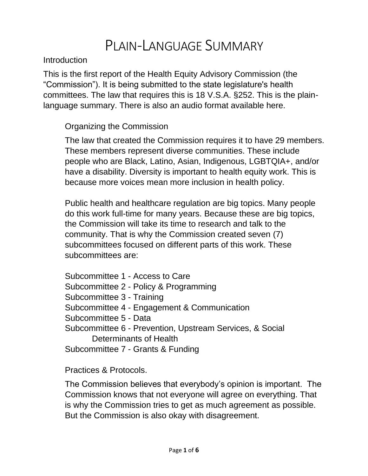# PLAIN-LANGUAGE SUMMARY

Introduction

This is the first report of the Health Equity Advisory Commission (the "Commission"). It is being submitted to the state legislature's health committees. The law that requires this is 18 V.S.A. §252. This is the plainlanguage summary. There is also an audio format available here.

# Organizing the Commission

The law that created the Commission requires it to have 29 members. These members represent diverse communities. These include people who are Black, Latino, Asian, Indigenous, LGBTQIA+, and/or have a disability. Diversity is important to health equity work. This is because more voices mean more inclusion in health policy.

Public health and healthcare regulation are big topics. Many people do this work full-time for many years. Because these are big topics, the Commission will take its time to research and talk to the community. That is why the Commission created seven (7) subcommittees focused on different parts of this work. These subcommittees are:

Subcommittee 1 - Access to Care Subcommittee 2 - Policy & Programming Subcommittee 3 - Training Subcommittee 4 - Engagement & Communication Subcommittee 5 - Data Subcommittee 6 - Prevention, Upstream Services, & Social Determinants of Health Subcommittee 7 - Grants & Funding

Practices & Protocols.

The Commission believes that everybody's opinion is important. The Commission knows that not everyone will agree on everything. That is why the Commission tries to get as much agreement as possible. But the Commission is also okay with disagreement.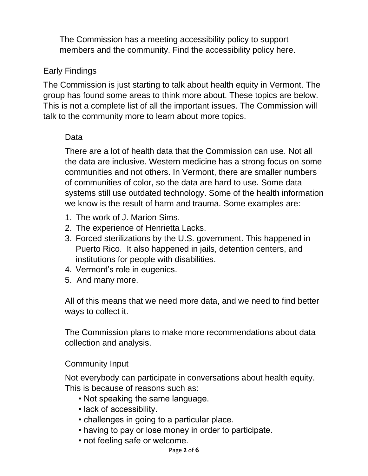The Commission has a meeting accessibility policy to support members and the community. Find the accessibility policy here.

# Early Findings

The Commission is just starting to talk about health equity in Vermont. The group has found some areas to think more about. These topics are below. This is not a complete list of all the important issues. The Commission will talk to the community more to learn about more topics.

# Data

There are a lot of health data that the Commission can use. Not all the data are inclusive. Western medicine has a strong focus on some communities and not others. In Vermont, there are smaller numbers of communities of color, so the data are hard to use. Some data systems still use outdated technology. Some of the health information we know is the result of harm and trauma. Some examples are:

- 1. The work of J. Marion Sims.
- 2. The experience of Henrietta Lacks.
- 3. Forced sterilizations by the U.S. government. This happened in Puerto Rico. It also happened in jails, detention centers, and institutions for people with disabilities.
- 4. Vermont's role in eugenics.
- 5. And many more.

All of this means that we need more data, and we need to find better ways to collect it.

The Commission plans to make more recommendations about data collection and analysis.

# Community Input

Not everybody can participate in conversations about health equity. This is because of reasons such as:

- Not speaking the same language.
- lack of accessibility.
- challenges in going to a particular place.
- having to pay or lose money in order to participate.
- not feeling safe or welcome.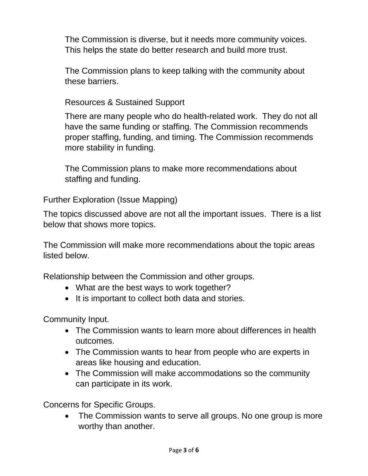The Commission is diverse, but it needs more community voices. This helps the state do better research and build more trust.

The Commission plans to keep talking with the community about these barriers.

Resources & Sustained Support

There are many people who do health-related work. They do not all have the same funding or staffing. The Commission recommends proper staffing, funding, and timing. The Commission recommends more stability in funding.

The Commission plans to make more recommendations about staffing and funding.

Further Exploration (Issue Mapping)

The topics discussed above are not all the important issues. There is a list below that shows more topics.

The Commission will make more recommendations about the topic areas listed below.

Relationship between the Commission and other groups.

- What are the best ways to work together?
- It is important to collect both data and stories.

Community Input.

- The Commission wants to learn more about differences in health outcomes.
- The Commission wants to hear from people who are experts in areas like housing and education.
- The Commission will make accommodations so the community can participate in its work.

Concerns for Specific Groups.

• The Commission wants to serve all groups. No one group is more worthy than another.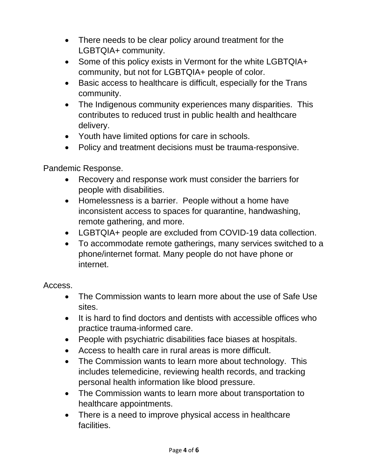- There needs to be clear policy around treatment for the LGBTQIA+ community.
- Some of this policy exists in Vermont for the white LGBTQIA+ community, but not for LGBTQIA+ people of color.
- Basic access to healthcare is difficult, especially for the Trans community.
- The Indigenous community experiences many disparities. This contributes to reduced trust in public health and healthcare delivery.
- Youth have limited options for care in schools.
- Policy and treatment decisions must be trauma-responsive.

Pandemic Response.

- Recovery and response work must consider the barriers for people with disabilities.
- Homelessness is a barrier. People without a home have inconsistent access to spaces for quarantine, handwashing, remote gathering, and more.
- LGBTQIA+ people are excluded from COVID-19 data collection.
- To accommodate remote gatherings, many services switched to a phone/internet format. Many people do not have phone or internet.

Access.

- The Commission wants to learn more about the use of Safe Use sites.
- It is hard to find doctors and dentists with accessible offices who practice trauma-informed care.
- People with psychiatric disabilities face biases at hospitals.
- Access to health care in rural areas is more difficult.
- The Commission wants to learn more about technology. This includes telemedicine, reviewing health records, and tracking personal health information like blood pressure.
- The Commission wants to learn more about transportation to healthcare appointments.
- There is a need to improve physical access in healthcare facilities.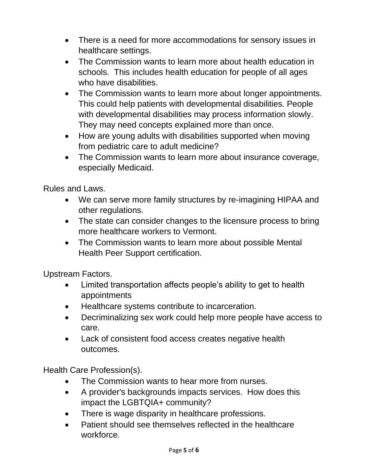- There is a need for more accommodations for sensory issues in healthcare settings.
- The Commission wants to learn more about health education in schools. This includes health education for people of all ages who have disabilities.
- The Commission wants to learn more about longer appointments. This could help patients with developmental disabilities. People with developmental disabilities may process information slowly. They may need concepts explained more than once.
- How are young adults with disabilities supported when moving from pediatric care to adult medicine?
- The Commission wants to learn more about insurance coverage, especially Medicaid.

Rules and Laws.

- We can serve more family structures by re-imagining HIPAA and other regulations.
- The state can consider changes to the licensure process to bring more healthcare workers to Vermont.
- The Commission wants to learn more about possible Mental Health Peer Support certification.

Upstream Factors.

- Limited transportation affects people's ability to get to health appointments
- Healthcare systems contribute to incarceration.
- Decriminalizing sex work could help more people have access to care.
- Lack of consistent food access creates negative health outcomes.

Health Care Profession(s).

- The Commission wants to hear more from nurses.
- A provider's backgrounds impacts services. How does this impact the LGBTQIA+ community?
- There is wage disparity in healthcare professions.
- Patient should see themselves reflected in the healthcare workforce.